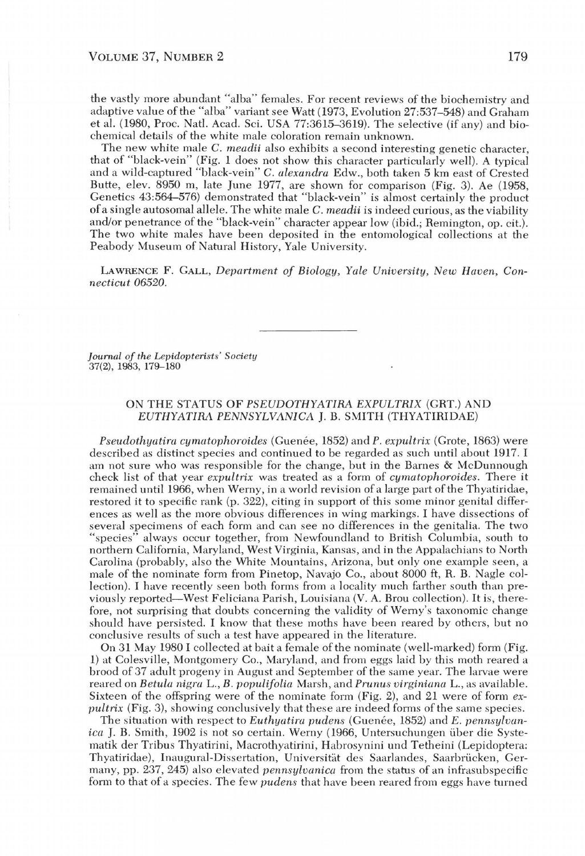the vastly more abundant "alba" females. For recent reviews of the biochemistry and adaptive value of the "alba" variant see Watt (1973, Evolution 27:537-548) and Graham et al. (1980, Proc. Natl. Acad. Sci. USA 77:3615-3619). The selective (if any) and biochemical details of the white male coloration remain unknown.

The new white male C. *meadii* also exhibits a second interesting genetic character, that of "black-vein" (Fig. 1 does not show this character particularly well). A typical and a wild-captured "black-vein" C. *alexandra* Edw., both taken 5 km east of Crested Butte, elev. 8950 m, late June 1977, are shown for comparison (Fig. 3). Ae (1958, Genetics 43:564-576) demonstrated that "black-vein" is almost certainly the product of a single autosomal allele. The white male C. *meadii* is indeed curious, as the viability and/or penetrance of the "black-vein" character appear low (ibid.; Remington, op. cit.). The two white males have been deposited in the entomological collections at the Peabody Museum of Natural History, Yale University.

LAWRENCE F. GALL, *Department of Biology, Yale University, New Haven, Connecticut 06520.* 

*Journal of the Lepidopterists' Society*  37(2), 1983, 179-180

## ON THE STATUS OF *PSEUDOTHYATlRA EXPULTRIX* (GRT.) AND *EUTHYATIRA PENNSYLVANICA I.B. SMITH (THYATIRIDAE)*

*Pseudothyatira cymatophoroides* (Guenée, 1852) and P. expultrix (Grote, 1863) were described as distinct species and continued to be regarded as such until about 1917. I am not sure who was responsible for the change, but in the Barnes & McDunnough check list of that year *expultrix* was treated as a form of *cymatophoroides.* There it remained until 1966, when Werny, in a world revision of a large part of the Thyatiridae, restored it to specific rank (p. 322), citing in support of this some minor genital differences as well as the more obvious differences in wing markings. I have dissections of several specimens of each form and can see no differences in the genitalia. The two "species" always occur together, from Newfoundland to British Columbia, south to northern California, Maryland, West Virginia, Kansas, and in the Appalachians to North Carolina (probably, also the White Mountains, Arizona, but only one example seen, a male of the nominate form from Pinetop, Navajo Co., about 8000 ft, R. B. Nagle collection). I have recently seen both forms from a locality much farther south than previously reported-West Feliciana Parish, Louisiana (V. A. Brou collection). It is, therefore, not surprising that doubts concerning the validity of Werny's taxonomic change should have persisted. I know that these moths have been reared by others, but no conclusive results of such a test have appeared in the literature.

On 31 May 1980 I collected at bait a female of the nominate (well-marked) form (Fig. 1) at Colesville, Montgomery Co., Maryland, and from eggs laid by this moth reared a brood of 37 adult progeny in August and September of the same year. The larvae were reared on *Betula nigra* L., *B. populifolia* Marsh, and *Prunus virginiana* L., as available. Sixteen of the offspring were of the nominate form (Fig. 2), and 21 were of form *expultrix* (Fig. 3), showing conclusively that these are indeed forms of the same species.

The situation with respect to *Euthyatira pudens* (Guenée, 1852) and *E. pennsylvan*ica J. B. Smith, 1902 is not so certain. Werny (1966, Untersuchungen über die Systematik der Tribus Thyatirini, Macrothyatirini, Habrosynini und Tetheini (Lepidoptera: Thyatiridae), Inaugural-Dissertation, Universität des Saarlandes, Saarbrücken, Germany, pp. 237, 245) also elevated *pennsylvanica* from the status of an infrasubspecific form to that of a species. The few *pudens* that have been reared from eggs have turned